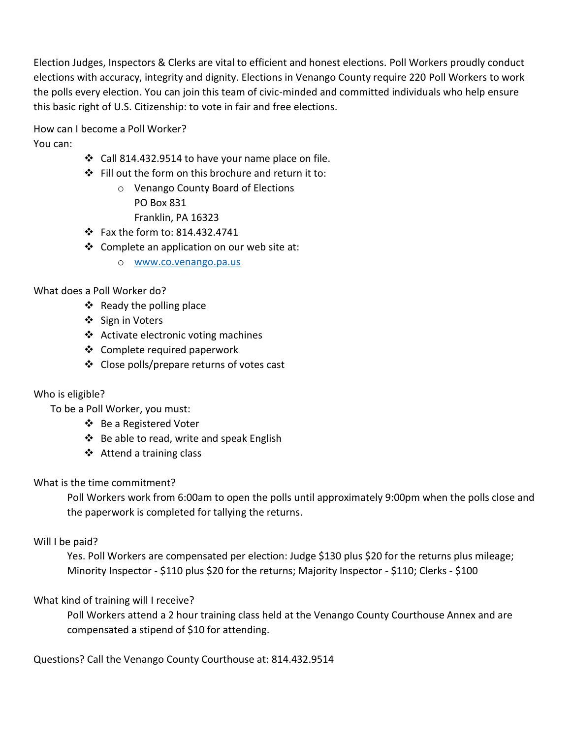Election Judges, Inspectors & Clerks are vital to efficient and honest elections. Poll Workers proudly conduct elections with accuracy, integrity and dignity. Elections in Venango County require 220 Poll Workers to work the polls every election. You can join this team of civic-minded and committed individuals who help ensure this basic right of U.S. Citizenship: to vote in fair and free elections.

How can I become a Poll Worker? You can:

- Call 814.432.9514 to have your name place on file.
- Fill out the form on this brochure and return it to:
	- o Venango County Board of Elections PO Box 831 Franklin, PA 16323
- Fax the form to: 814.432.4741
- Complete an application on our web site at:
	- o [www.co.venango.pa.us](http://www.co.venango.pa.us/)

## What does a Poll Worker do?

- $\div$  Ready the polling place
- ❖ Sign in Voters
- ❖ Activate electronic voting machines
- Complete required paperwork
- Close polls/prepare returns of votes cast

### Who is eligible?

To be a Poll Worker, you must:

- ❖ Be a Registered Voter
- ❖ Be able to read, write and speak English
- $\triangleleft$  Attend a training class

### What is the time commitment?

Poll Workers work from 6:00am to open the polls until approximately 9:00pm when the polls close and the paperwork is completed for tallying the returns.

### Will I be paid?

Yes. Poll Workers are compensated per election: Judge \$130 plus \$20 for the returns plus mileage; Minority Inspector - \$110 plus \$20 for the returns; Majority Inspector - \$110; Clerks - \$100

# What kind of training will I receive?

Poll Workers attend a 2 hour training class held at the Venango County Courthouse Annex and are compensated a stipend of \$10 for attending.

Questions? Call the Venango County Courthouse at: 814.432.9514